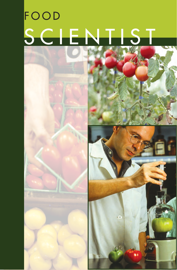# FOOD SCIENTIST